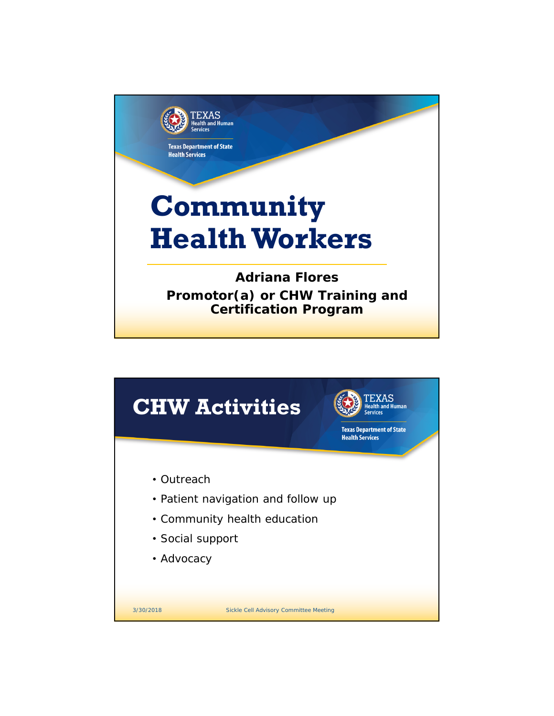

|                                                                                                                    | <b>CHW Activities</b>                         | <b>TEXAS</b><br>th and Human<br><b>Texas Department of State</b><br><b>Health Services</b> |  |
|--------------------------------------------------------------------------------------------------------------------|-----------------------------------------------|--------------------------------------------------------------------------------------------|--|
| • Outreach<br>• Patient navigation and follow up<br>• Community health education<br>• Social support<br>• Advocacy |                                               |                                                                                            |  |
| 3/30/2018                                                                                                          | <b>Sickle Cell Advisory Committee Meeting</b> |                                                                                            |  |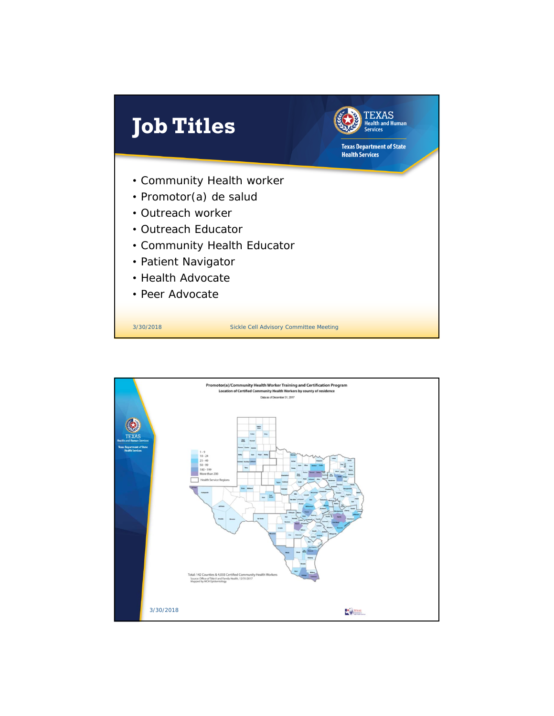

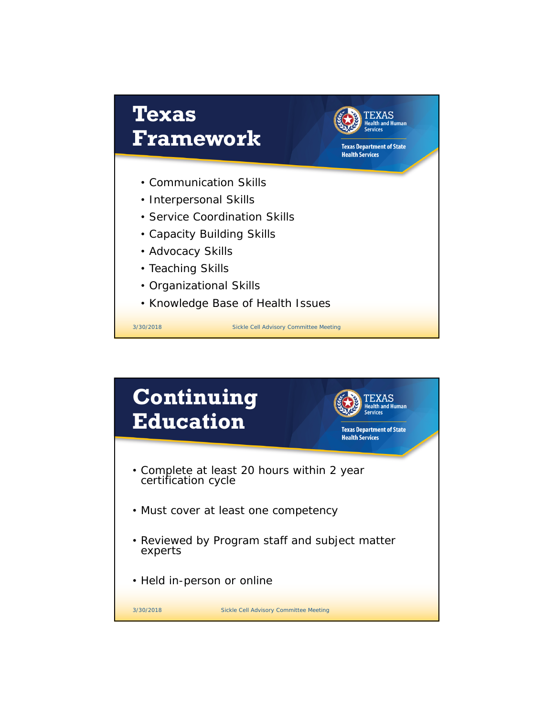

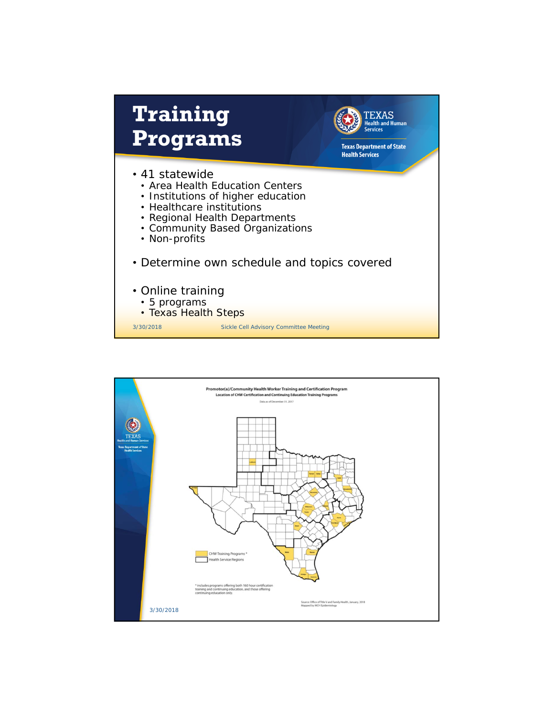